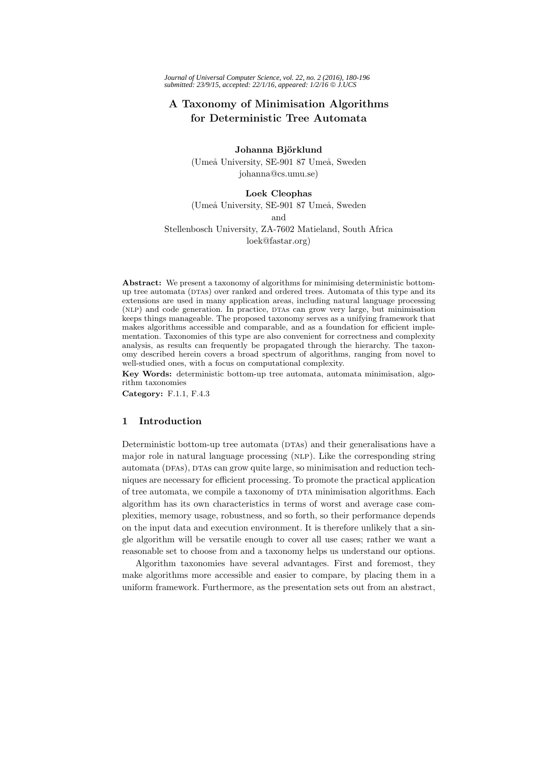# **A Taxonomy of Minimisation Algorithms**

Johanna Björklund (Umeå University, SE-901 87 Umeå, Sweden johanna@cs.umu.se)

# **Loek Cleophas**

(Umeå University, SE-901 87 Umeå, Sweden and Stellenbosch University, ZA-7602 Matieland, South Africa

loek@fastar.org)

**Abstract:** We present a taxonomy of algorithms for minimising deterministic bottomup tree automata (DTAs) over ranked and ordered trees. Automata of this type and its extensions are used in many application areas, including natural language processing (NLP) and code generation. In practice, DTAs can grow very large, but minimisation keeps things manageable. The proposed taxonomy serves as a unifying framework that makes algorithms accessible and comparable, and as a foundation for efficient implementation. Taxonomies of this type are also convenient for correctness and complexity analysis, as results can frequently be propagated through the hierarchy. The taxonomy described herein covers a broad spectrum of algorithms, ranging from novel to well-studied ones, with a focus on computational complexity.

**Key Words:** deterministic bottom-up tree automata, automata minimisation, algorithm taxonomies

**Category:** F.1.1, F.4.3

#### **1 Introduction**

Deterministic bottom-up tree automata (DTAs) and their generalisations have a major role in natural language processing (NLP). Like the corresponding string automata (DFAs), DTAs can grow quite large, so minimisation and reduction techniques are necessary for efficient processing. To promote the practical application of tree automata, we compile a taxonomy of DTA minimisation algorithms. Each algorithm has its own characteristics in terms of worst and average case complexities, memory usage, robustness, and so forth, so their performance depends on the input data and execution environment. It is therefore unlikely that a single algorithm will be versatile enough to cover all use cases; rather we want a reasonable set to choose from and a taxonomy helps us understand our options.

Algorithm taxonomies have several advantages. First and foremost, they make algorithms more accessible and easier to compare, by placing them in a uniform framework. Furthermore, as the presentation sets out from an abstract,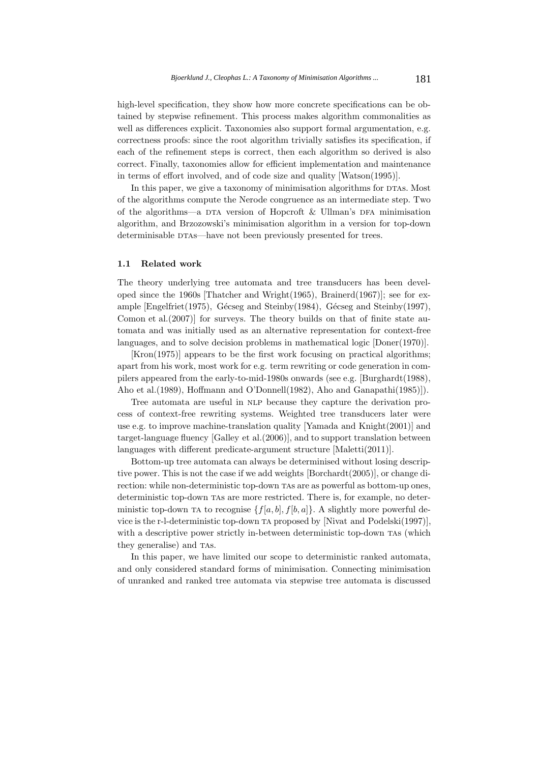high-level specification, they show how more concrete specifications can be obtained by stepwise refinement. This process makes algorithm commonalities as well as differences explicit. Taxonomies also support formal argumentation, e.g. correctness proofs: since the root algorithm trivially satisfies its specification, if each of the refinement steps is correct, then each algorithm so derived is also correct. Finally, taxonomies allow for efficient implementation and maintenance in terms of effort involved, and of code size and quality [Watson(1995)].

In this paper, we give a taxonomy of minimisation algorithms for DTAs. Most of the algorithms compute the Nerode congruence as an intermediate step. Two of the algorithms—a DTA version of Hopcroft  $\&$  Ullman's DFA minimisation algorithm, and Brzozowski's minimisation algorithm in a version for top-down determinisable DTAs—have not been previously presented for trees.

#### **1.1 Related work**

The theory underlying tree automata and tree transducers has been developed since the 1960s [Thatcher and Wright(1965), Brainerd(1967)]; see for example [Engelfriet(1975), Gécseg and Steinby(1984), Gécseg and Steinby(1997), Comon et al.(2007)] for surveys. The theory builds on that of finite state automata and was initially used as an alternative representation for context-free languages, and to solve decision problems in mathematical logic [Doner(1970)].

[Kron(1975)] appears to be the first work focusing on practical algorithms; apart from his work, most work for e.g. term rewriting or code generation in compilers appeared from the early-to-mid-1980s onwards (see e.g. [Burghardt(1988), Aho et al.(1989), Hoffmann and O'Donnell(1982), Aho and Ganapathi(1985)]).

Tree automata are useful in NLP because they capture the derivation process of context-free rewriting systems. Weighted tree transducers later were use e.g. to improve machine-translation quality [Yamada and Knight(2001)] and target-language fluency [Galley et al.(2006)], and to support translation between languages with different predicate-argument structure [Maletti(2011)].

Bottom-up tree automata can always be determinised without losing descriptive power. This is not the case if we add weights [Borchardt(2005)], or change direction: while non-deterministic top-down TAs are as powerful as bottom-up ones, deterministic top-down tas are more restricted. There is, for example, no deterministic top-down TA to recognise  $\{f[a, b], f[b, a]\}$ . A slightly more powerful device is the r-l-deterministic top-down ta proposed by [Nivat and Podelski(1997)], with a descriptive power strictly in-between deterministic top-down TAS (which they generalise) and TAS.

In this paper, we have limited our scope to deterministic ranked automata, and only considered standard forms of minimisation. Connecting minimisation of unranked and ranked tree automata via stepwise tree automata is discussed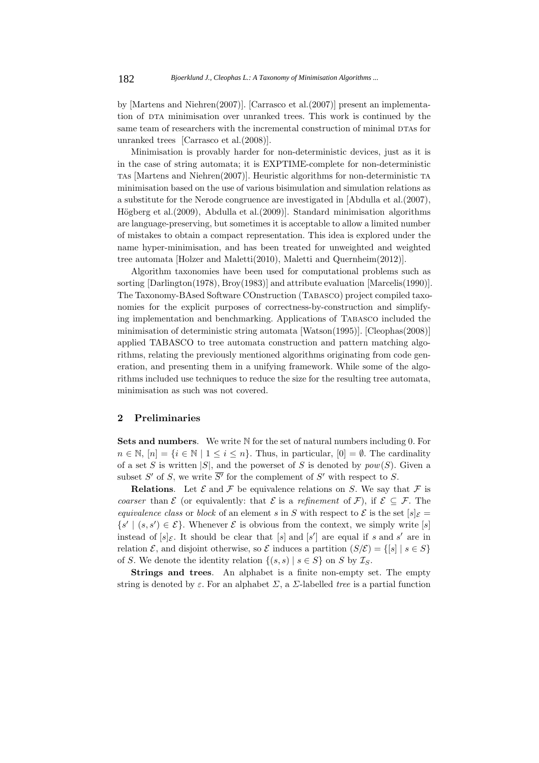by [Martens and Niehren(2007)]. [Carrasco et al.(2007)] present an implementation of DTA minimisation over unranked trees. This work is continued by the same team of researchers with the incremental construction of minimal DTAs for unranked trees [Carrasco et al.(2008)].

Minimisation is provably harder for non-deterministic devices, just as it is in the case of string automata; it is EXPTIME-complete for non-deterministic tas [Martens and Niehren(2007)]. Heuristic algorithms for non-deterministic ta minimisation based on the use of various bisimulation and simulation relations as a substitute for the Nerode congruence are investigated in [Abdulla et al.(2007), Högberg et al.(2009), Abdulla et al.(2009)]. Standard minimisation algorithms are language-preserving, but sometimes it is acceptable to allow a limited number of mistakes to obtain a compact representation. This idea is explored under the name hyper-minimisation, and has been treated for unweighted and weighted tree automata [Holzer and Maletti(2010), Maletti and Quernheim(2012)].

Algorithm taxonomies have been used for computational problems such as sorting [Darlington(1978), Broy(1983)] and attribute evaluation [Marcelis(1990)]. The Taxonomy-BAsed Software COnstruction (Tabasco) project compiled taxonomies for the explicit purposes of correctness-by-construction and simplifying implementation and benchmarking. Applications of Tabasco included the minimisation of deterministic string automata [Watson(1995)]. [Cleophas(2008)] applied TABASCO to tree automata construction and pattern matching algorithms, relating the previously mentioned algorithms originating from code generation, and presenting them in a unifying framework. While some of the algorithms included use techniques to reduce the size for the resulting tree automata, minimisation as such was not covered.

#### **2 Preliminaries**

**Sets and numbers**. We write N for the set of natural numbers including 0. For  $n \in \mathbb{N}, |n| = \{i \in \mathbb{N} \mid 1 \le i \le n\}.$  Thus, in particular,  $[0] = \emptyset$ . The cardinality of a set S is written  $|S|$ , and the powerset of S is denoted by  $pow(S)$ . Given a subset S' of S, we write  $\overline{S'}$  for the complement of S' with respect to S.

**Relations**. Let  $\mathcal{E}$  and  $\mathcal{F}$  be equivalence relations on S. We say that  $\mathcal{F}$  is *coarser* than  $\mathcal{E}$  (or equivalently: that  $\mathcal{E}$  is a *refinement* of  $\mathcal{F}$ ), if  $\mathcal{E} \subset \mathcal{F}$ . The *equivalence class* or *block* of an element s in S with respect to  $\mathcal{E}$  is the set  $[s]_{\mathcal{E}} =$  $\{s' \mid (s, s') \in \mathcal{E}\}\.$  Whenever  $\mathcal E$  is obvious from the context, we simply write  $[s]$ instead of  $[s]_{\mathcal{E}}$ . It should be clear that  $[s]$  and  $[s']$  are equal if s and s' are in relation  $\mathcal{E}$ , and disjoint otherwise, so  $\mathcal{E}$  induces a partition  $(S/\mathcal{E}) = \{ [s] \mid s \in S \}$ of S. We denote the identity relation  $\{(s, s) | s \in S\}$  on S by  $\mathcal{I}_S$ .

**Strings and trees**. An alphabet is a finite non-empty set. The empty string is denoted by  $\varepsilon$ . For an alphabet  $\Sigma$ , a  $\Sigma$ -labelled *tree* is a partial function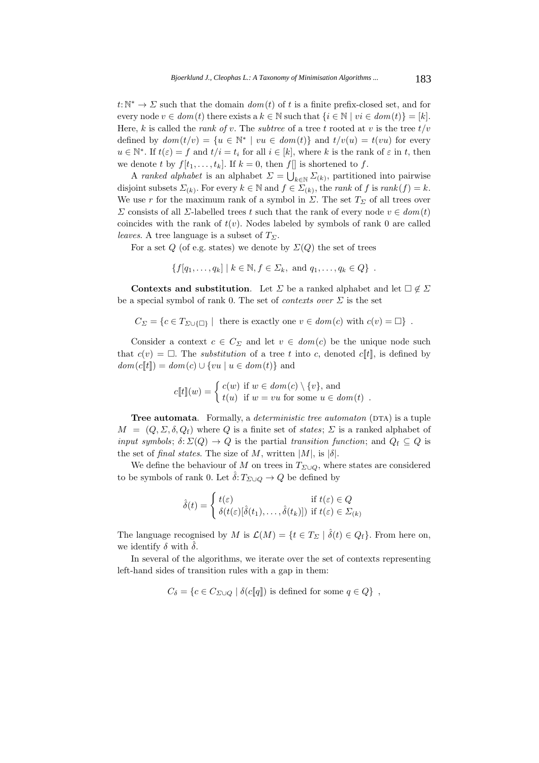$t:\mathbb{N}^*\to\Sigma$  such that the domain  $dom(t)$  of t is a finite prefix-closed set, and for every node  $v \in dom(t)$  there exists a  $k \in \mathbb{N}$  such that  $\{i \in \mathbb{N} \mid vi \in dom(t)\} = [k]$ . Here, k is called the *rank of* v. The *subtree* of a tree t rooted at v is the tree  $t/v$ defined by  $dom(t/v) = \{u \in \mathbb{N}^* \mid vu \in dom(t)\}\$ and  $t/v(u) = t(vu)$  for every  $u \in \mathbb{N}^*$ . If  $t(\varepsilon) = f$  and  $t/i = t_i$  for all  $i \in [k]$ , where k is the rank of  $\varepsilon$  in t, then we denote t by  $f[t_1,\ldots,t_k]$ . If  $k=0$ , then  $f[\cdot]$  is shortened to f.

A *ranked alphabet* is an alphabet  $\Sigma = \bigcup_{k \in \mathbb{N}} \Sigma_{(k)}$ , partitioned into pairwise disjoint subsets  $\Sigma_{(k)}$ . For every  $k \in \mathbb{N}$  and  $f \in \Sigma_{(k)}$ , the *rank* of f is  $rank(f) = k$ . We use r for the maximum rank of a symbol in  $\Sigma$ . The set  $T_{\Sigma}$  of all trees over  $Σ$  consists of all  $Σ$ -labelled trees t such that the rank of every node  $v ∈ dom(t)$ coincides with the rank of  $t(v)$ . Nodes labeled by symbols of rank 0 are called *leaves*. A tree language is a subset of  $T_{\Sigma}$ .

For a set Q (of e.g. states) we denote by  $\Sigma(Q)$  the set of trees

$$
\{f[q_1,\ldots,q_k] \mid k \in \mathbb{N}, f \in \Sigma_k, \text{ and } q_1,\ldots,q_k \in Q\} .
$$

**Contexts and substitution.** Let  $\Sigma$  be a ranked alphabet and let  $\Box \notin \Sigma$ be a special symbol of rank 0. The set of *contexts over* Σ is the set

$$
C_{\Sigma} = \{c \in T_{\Sigma \cup \{\Box\}} \mid \text{ there is exactly one } v \in \text{dom}(c) \text{ with } c(v) = \Box\} .
$$

Consider a context  $c \in C_{\Sigma}$  and let  $v \in dom(c)$  be the unique node such that  $c(v) = \Box$ . The *substitution* of a tree t into c, denoted c[t], is defined by  $dom(c[[t]]) = dom(c) \cup \{vu \mid u \in dom(t)\}$  and

$$
c[[t]](w) = \begin{cases} c(w) & \text{if } w \in dom(c) \setminus \{v\}, \text{ and} \\ t(u) & \text{if } w = vu \text{ for some } u \in dom(t) \end{cases}.
$$

**Tree automata**. Formally, a *deterministic tree automaton* (DTA) is a tuple  $M = (Q, \Sigma, \delta, Q_f)$  where Q is a finite set of *states*;  $\Sigma$  is a ranked alphabet of *input symbols*;  $\delta: \Sigma(Q) \to Q$  is the partial *transition function*; and  $Q_f \subset Q$  is the set of *final states*. The size of M, written  $|M|$ , is  $|\delta|$ .

We define the behaviour of M on trees in  $T_{\Sigma\cup Q}$ , where states are considered to be symbols of rank 0. Let  $\delta: T_{\Sigma\cup Q} \to Q$  be defined by

$$
\hat{\delta}(t) = \begin{cases} t(\varepsilon) & \text{if } t(\varepsilon) \in Q \\ \delta(t(\varepsilon)[\hat{\delta}(t_1), \dots, \hat{\delta}(t_k)]) & \text{if } t(\varepsilon) \in \Sigma_{(k)} \end{cases}
$$

The language recognised by M is  $\mathcal{L}(M) = \{t \in T_\Sigma \mid \hat{\delta}(t) \in Q_f\}$ . From here on, we identify  $\delta$  with  $\hat{\delta}$ .

In several of the algorithms, we iterate over the set of contexts representing left-hand sides of transition rules with a gap in them:

$$
C_{\delta} = \{c \in C_{\Sigma \cup Q} \mid \delta(c[\![q]\!]) \text{ is defined for some } q \in Q\},\;
$$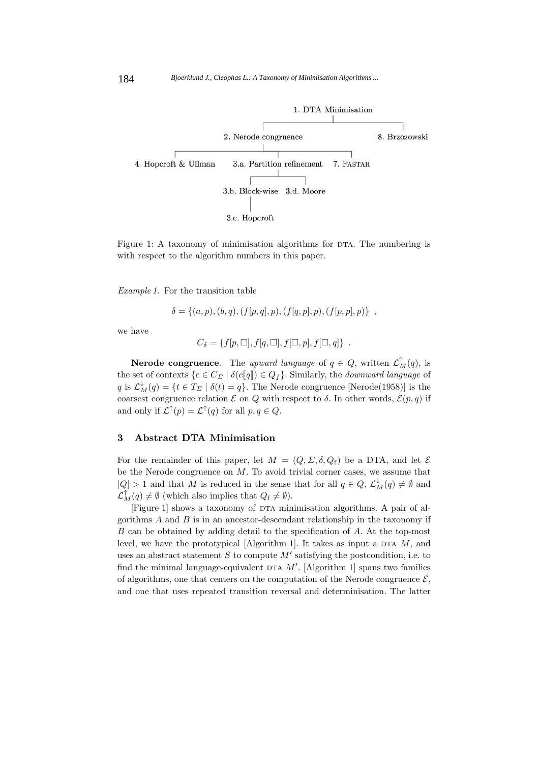

Figure 1: A taxonomy of minimisation algorithms for DTA. The numbering is with respect to the algorithm numbers in this paper.

*Example 1.* For the transition table

$$
\delta = \{(a, p), (b, q), (f[p, q], p), (f[q, p], p), (f[p, p], p)\},\,
$$

we have

$$
C_{\delta} = \{f[p,\Box], f[q,\Box], f[\Box, p], f[\Box, q]\} .
$$

**Nerode congruence**. The *upward language* of  $q \in Q$ , written  $\mathcal{L}_M^{\uparrow}(q)$ , is the set of contexts  $\{c \in C_{\Sigma} \mid \delta(c[\![q]\!]) \in Q_f\}$ . Similarly, the *downward language* of q is  $\mathcal{L}_M^{\downarrow}(q) = \{t \in T_\Sigma \mid \delta(t) = q\}$ . The Nerode congruence [Nerode(1958)] is the coarsest congruence relation  $\mathcal E$  on  $Q$  with respect to  $\delta$ . In other words,  $\mathcal E(p,q)$  if and only if  $\mathcal{L}^{\uparrow}(p) = \mathcal{L}^{\uparrow}(q)$  for all  $p, q \in Q$ .

# **3 Abstract DTA Minimisation**

For the remainder of this paper, let  $M = (Q, \Sigma, \delta, Q_f)$  be a DTA, and let  $\mathcal E$ be the Nerode congruence on  $M$ . To avoid trivial corner cases, we assume that  $|Q| > 1$  and that M is reduced in the sense that for all  $q \in Q, \mathcal{L}^{\downarrow}_M(q) \neq \emptyset$  and  $\mathcal{L}_M^{\uparrow}(q) \neq \emptyset$  (which also implies that  $Q_{\rm f} \neq \emptyset$ ).

[Figure 1] shows a taxonomy of  $DTA$  minimisation algorithms. A pair of algorithms  $A$  and  $B$  is in an ancestor-descendant relationship in the taxonomy if B can be obtained by adding detail to the specification of A. At the top-most level, we have the prototypical [Algorithm 1]. It takes as input a DTA  $M$ , and uses an abstract statement  $S$  to compute  $M'$  satisfying the postcondition, i.e. to find the minimal language-equivalent DTA  $M'$ . [Algorithm 1] spans two families of algorithms, one that centers on the computation of the Nerode congruence  $\mathcal{E}$ , and one that uses repeated transition reversal and determinisation. The latter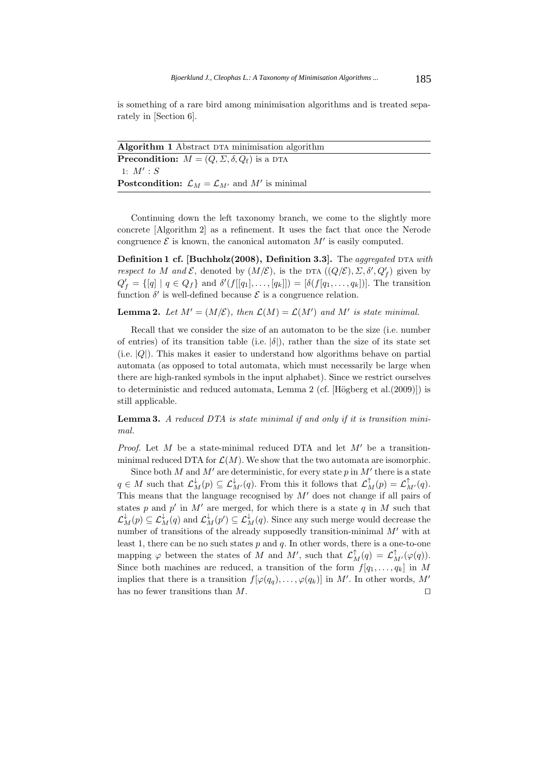is something of a rare bird among minimisation algorithms and is treated separately in [Section 6].

| <b>Algorithm 1</b> Abstract DTA minimisation algorithm                     |
|----------------------------------------------------------------------------|
| <b>Precondition:</b> $M = (Q, \Sigma, \delta, Q_f)$ is a DTA               |
| 1: M': S                                                                   |
| <b>Postcondition:</b> $\mathcal{L}_M = \mathcal{L}_{M'}$ and M' is minimal |
|                                                                            |

Continuing down the left taxonomy branch, we come to the slightly more concrete [Algorithm 2] as a refinement. It uses the fact that once the Nerode congruence  $\mathcal E$  is known, the canonical automaton  $M'$  is easily computed.

**Definition 1 cf. [Buchholz(2008), Definition 3.3].** The *aggregated* DTA *with respect to* M and E, denoted by  $(M/\mathcal{E})$ , is the DTA  $((Q/\mathcal{E}), \Sigma, \delta', Q'_f)$  given by  $Q'_f = \{ [q] \mid q \in Q_f \}$  and  $\delta'(f[[q_1], \ldots, [q_k]]) = [\delta(f[q_1, \ldots, q_k])]$ . The transition function  $\delta'$  is well-defined because  $\mathcal E$  is a congruence relation.

**Lemma 2.** Let  $M' = (M/\mathcal{E})$ , then  $\mathcal{L}(M) = \mathcal{L}(M')$  and  $M'$  is state minimal.

Recall that we consider the size of an automaton to be the size (i.e. number of entries) of its transition table (i.e.  $|\delta|$ ), rather than the size of its state set  $(i.e. |Q|)$ . This makes it easier to understand how algorithms behave on partial automata (as opposed to total automata, which must necessarily be large when there are high-ranked symbols in the input alphabet). Since we restrict ourselves to deterministic and reduced automata, Lemma 2 (cf. [Högberg et al. $(2009)$ ]) is still applicable.

**Lemma 3.** *A reduced DTA is state minimal if and only if it is transition minimal.*

*Proof.* Let  $M$  be a state-minimal reduced DTA and let  $M'$  be a transitionminimal reduced DTA for  $\mathcal{L}(M)$ . We show that the two automata are isomorphic.

Since both  $M$  and  $M'$  are deterministic, for every state  $p$  in  $M'$  there is a state  $q \in M$  such that  $\mathcal{L}_M^{\downarrow}(p) \subseteq \mathcal{L}_{M'}^{\downarrow}(q)$ . From this it follows that  $\mathcal{L}_M^{\uparrow}(p) = \mathcal{L}_{M'}^{\uparrow}(q)$ . This means that the language recognised by  $M'$  does not change if all pairs of states p and p' in M' are merged, for which there is a state q in M such that  $\mathcal{L}^{\downarrow}_M(p) \subseteq \mathcal{L}^{\downarrow}_M(q)$  and  $\mathcal{L}^{\downarrow}_M(p') \subseteq \mathcal{L}^{\downarrow}_M(q)$ . Since any such merge would decrease the number of transitions of the already supposedly transition-minimal  $M'$  with at least 1, there can be no such states  $p$  and  $q$ . In other words, there is a one-to-one mapping  $\varphi$  between the states of M and M', such that  $\mathcal{L}_M^{\uparrow}(q) = \mathcal{L}_{M'}^{\uparrow}(\varphi(q))$ . Since both machines are reduced, a transition of the form  $f[q_1,...,q_k]$  in M implies that there is a transition  $f[\varphi(q_q), \ldots, \varphi(q_k)]$  in M'. In other words, M' has no fewer transitions than M.  $\Box$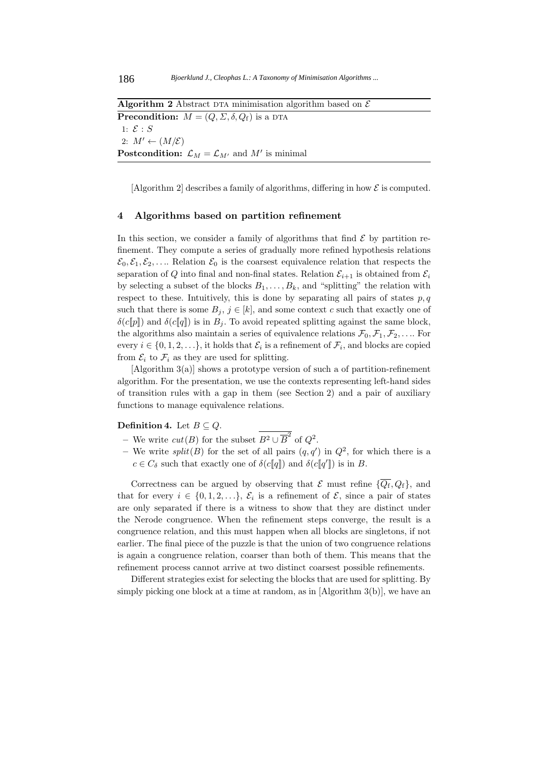**Algorithm 2** Abstract DTA minimisation algorithm based on  $\mathcal{E}$ **Precondition:**  $M = (Q, \Sigma, \delta, Q_f)$  is a DTA 1:  $\mathcal{E}: S$ 2:  $M' \leftarrow (M/\mathcal{E})$ **Postcondition:**  $\mathcal{L}_M = \mathcal{L}_{M'}$  and  $M'$  is minimal

[Algorithm 2] describes a family of algorithms, differing in how  $\mathcal E$  is computed.

#### **4 Algorithms based on partition refinement**

In this section, we consider a family of algorithms that find  $\mathcal E$  by partition refinement. They compute a series of gradually more refined hypothesis relations  $\mathcal{E}_0, \mathcal{E}_1, \mathcal{E}_2, \ldots$  Relation  $\mathcal{E}_0$  is the coarsest equivalence relation that respects the separation of Q into final and non-final states. Relation  $\mathcal{E}_{i+1}$  is obtained from  $\mathcal{E}_i$ by selecting a subset of the blocks  $B_1, \ldots, B_k$ , and "splitting" the relation with respect to these. Intuitively, this is done by separating all pairs of states  $p, q$ such that there is some  $B_j$ ,  $j \in [k]$ , and some context c such that exactly one of  $\delta(c[\![p]\!])$  and  $\delta(c[\![q]\!])$  is in  $B_j$ . To avoid repeated splitting against the same block, the algorithms also maintain a series of equivalence relations  $\mathcal{F}_0, \mathcal{F}_1, \mathcal{F}_2, \ldots$  For every  $i \in \{0, 1, 2, \ldots\}$ , it holds that  $\mathcal{E}_i$  is a refinement of  $\mathcal{F}_i$ , and blocks are copied from  $\mathcal{E}_i$  to  $\mathcal{F}_i$  as they are used for splitting.

[Algorithm 3(a)] shows a prototype version of such a of partition-refinement algorithm. For the presentation, we use the contexts representing left-hand sides of transition rules with a gap in them (see Section 2) and a pair of auxiliary functions to manage equivalence relations.

# **Definition 4.** Let  $B \subseteq Q$ .

- We write *cut*(*B*) for the subset  $B^2 \cup \overline{B}^2$  of  $Q^2$ .
- $-$  We write *split*(*B*) for the set of all pairs  $(q, q')$  in  $Q^2$ , for which there is a  $c \in C_{\delta}$  such that exactly one of  $\delta(cllbracket q \rrbracket)$  and  $\delta(cllbracket q' \rrbracket)$  is in B.

Correctness can be argued by observing that  $\mathcal E$  must refine  $\{\overline{Q_f}, Q_f\}$ , and that for every  $i \in \{0, 1, 2, \ldots\}, \mathcal{E}_i$  is a refinement of  $\mathcal{E}$ , since a pair of states are only separated if there is a witness to show that they are distinct under the Nerode congruence. When the refinement steps converge, the result is a congruence relation, and this must happen when all blocks are singletons, if not earlier. The final piece of the puzzle is that the union of two congruence relations is again a congruence relation, coarser than both of them. This means that the refinement process cannot arrive at two distinct coarsest possible refinements.

Different strategies exist for selecting the blocks that are used for splitting. By simply picking one block at a time at random, as in [Algorithm 3(b)], we have an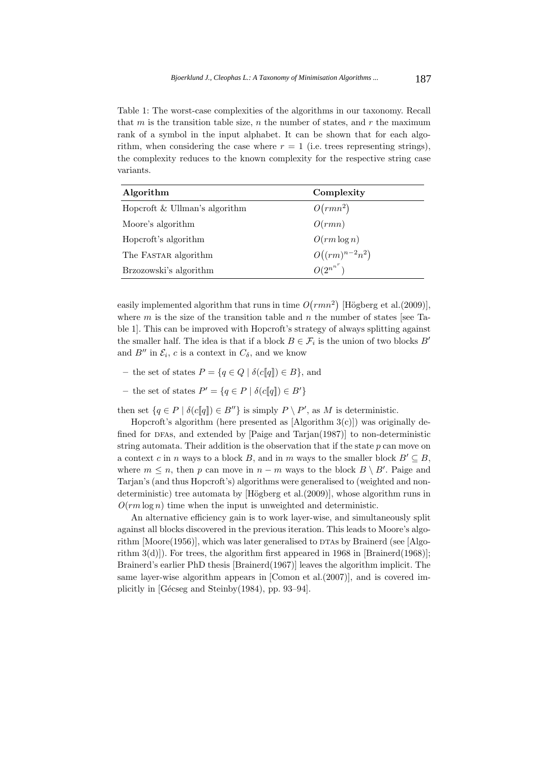Table 1: The worst-case complexities of the algorithms in our taxonomy. Recall that  $m$  is the transition table size,  $n$  the number of states, and  $r$  the maximum rank of a symbol in the input alphabet. It can be shown that for each algorithm, when considering the case where  $r = 1$  (i.e. trees representing strings), the complexity reduces to the known complexity for the respective string case variants.

| Algorithm                       | Complexity         |
|---------------------------------|--------------------|
| Hopcroft $&$ Ullman's algorithm | $O(rmn^2)$         |
| Moore's algorithm               | O(rmn)             |
| Hopcroft's algorithm            | $O(rm \log n)$     |
| The FASTAR algorithm            | $O((rm)^{n-2}n^2)$ |
| Brzozowski's algorithm          | $O(2^{n^{n^r}})$   |

easily implemented algorithm that runs in time  $O(rmn^2)$  [Högberg et al. (2009)], where m is the size of the transition table and n the number of states [see Table 1]. This can be improved with Hopcroft's strategy of always splitting against the smaller half. The idea is that if a block  $B \in \mathcal{F}_i$  is the union of two blocks  $B'$ and  $B''$  in  $\mathcal{E}_i$ , c is a context in  $C_\delta$ , and we know

- $-$  the set of states  $P = \{q \in Q \mid \delta(c[[q]]) \in B\}$ , and
- $-$  the set of states  $P' = \{q \in P \mid \delta(c[[q]]) \in B'\}$

then set  $\{q \in P \mid \delta(c\llbracket q \rrbracket) \in B''\}$  is simply  $P \setminus P'$ , as M is deterministic.

Hopcroft's algorithm (here presented as  $[Algorithm 3(c)]$ ) was originally defined for DFAs, and extended by  $\left[\text{Paige} \text{ and } \text{Tarjan}(1987)\right]$  to non-deterministic string automata. Their addition is the observation that if the state  $p$  can move on a context c in n ways to a block B, and in m ways to the smaller block  $B' \subseteq B$ , where  $m \leq n$ , then p can move in  $n - m$  ways to the block  $B \setminus B'$ . Paige and Tarjan's (and thus Hopcroft's) algorithms were generalised to (weighted and nondeterministic) tree automata by  $[\text{H\"{o}gberg et al.}(2009)],$  whose algorithm runs in  $O(rm \log n)$  time when the input is unweighted and deterministic.

An alternative efficiency gain is to work layer-wise, and simultaneously split against all blocks discovered in the previous iteration. This leads to Moore's algorithm  $[Moore(1956)]$ , which was later generalised to DTAs by Brainerd (see [Algorithm  $3(d)$ . For trees, the algorithm first appeared in 1968 in [Brainerd(1968)]; Brainerd's earlier PhD thesis [Brainerd(1967)] leaves the algorithm implicit. The same layer-wise algorithm appears in [Comon et al.(2007)], and is covered implicitly in [Gécseg and Steinby(1984), pp. 93–94].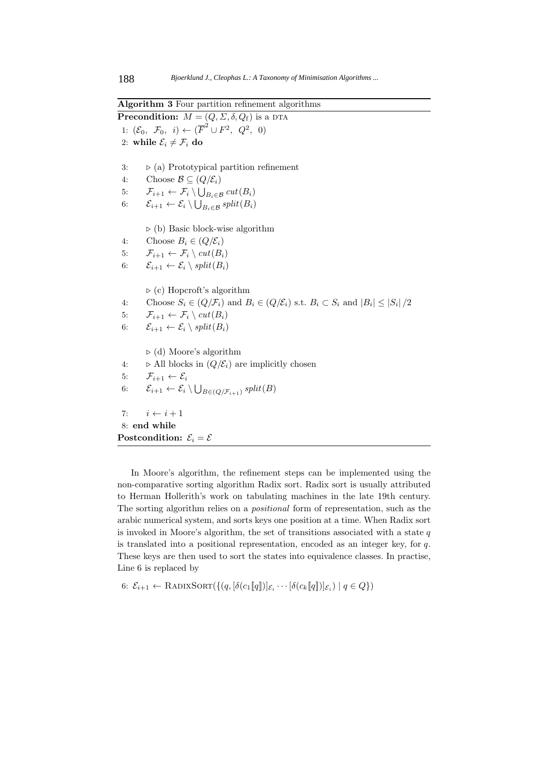**Algorithm 3** Four partition refinement algorithms

**Precondition:**  $M = (Q, \Sigma, \delta, Q_f)$  is a DTA 1:  $(\mathcal{E}_0, \ \mathcal{F}_0, \ i) \leftarrow (\overline{F}^2 \cup F^2, \ Q^2, \ 0)$ 2: while  $\mathcal{E}_i \neq \mathcal{F}_i$  do 3:  $\triangleright$  (a) Prototypical partition refinement 4: Choose  $\mathcal{B} \subseteq (Q/\mathcal{E}_i)$ 5:  $\mathcal{F}_{i+1} \leftarrow \mathcal{F}_i \setminus \bigcup_{B_i \in \mathcal{B}} cut(B_i)$ 6:  $\mathcal{E}_{i+1} \leftarrow \mathcal{E}_i \setminus \bigcup_{B_i \in \mathcal{B}} split(B_i)$  $\triangleright$  (b) Basic block-wise algorithm 4: Choose  $B_i \in (Q/\mathcal{E}_i)$ 5:  $\mathcal{F}_{i+1} \leftarrow \mathcal{F}_i \setminus cut(B_i)$ 6:  $\mathcal{E}_{i+1} \leftarrow \mathcal{E}_i \setminus split(B_i)$  $\triangleright$  (c) Hopcroft's algorithm 4: Choose  $S_i \in (Q/\mathcal{F}_i)$  and  $B_i \in (Q/\mathcal{E}_i)$  s.t.  $B_i \subset S_i$  and  $|B_i| \leq |S_i|/2$ 5:  $\mathcal{F}_{i+1} \leftarrow \mathcal{F}_i \setminus cut(B_i)$ 6:  $\mathcal{E}_{i+1} \leftarrow \mathcal{E}_i \setminus split(B_i)$  $\triangleright$  (d) Moore's algorithm 4:  $\triangleright$  All blocks in  $(Q/\mathcal{E}_i)$  are implicitly chosen 5:  $\mathcal{F}_{i+1} \leftarrow \mathcal{E}_i$ 6:  $\mathcal{E}_{i+1} \leftarrow \mathcal{E}_i \setminus \bigcup_{B \in (Q/\mathcal{F}_{i+1})} split(B)$ 7:  $i \leftarrow i + 1$ 8: **end while Postcondition:**  $\mathcal{E}_i = \mathcal{E}$ 

In Moore's algorithm, the refinement steps can be implemented using the non-comparative sorting algorithm Radix sort. Radix sort is usually attributed to Herman Hollerith's work on tabulating machines in the late 19th century. The sorting algorithm relies on a *positional* form of representation, such as the arabic numerical system, and sorts keys one position at a time. When Radix sort is invoked in Moore's algorithm, the set of transitions associated with a state  $q$ is translated into a positional representation, encoded as an integer key, for q. These keys are then used to sort the states into equivalence classes. In practise, Line 6 is replaced by

6: 
$$
\mathcal{E}_{i+1} \leftarrow \text{RADIXSORT}(\{(q, [\delta(c_1[[q]])]_{\mathcal{E}_i} \cdots [\delta(c_k[[q]])]_{\mathcal{E}_i}) \mid q \in Q\})
$$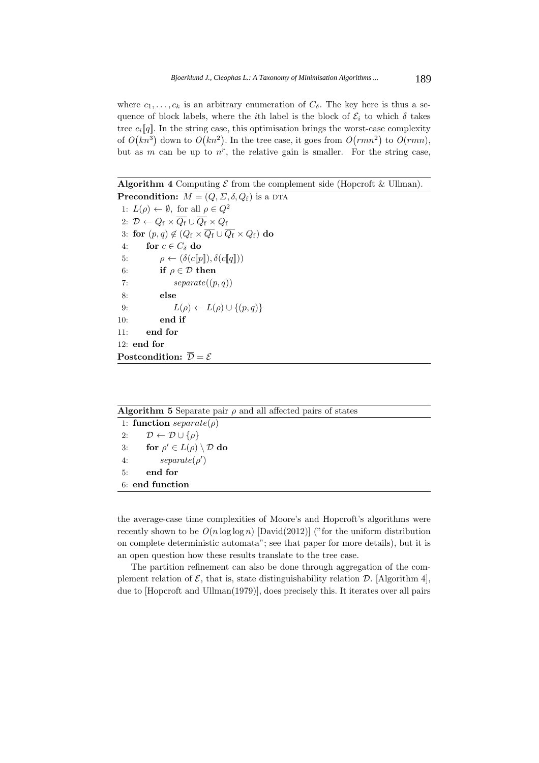where  $c_1, \ldots, c_k$  is an arbitrary enumeration of  $C_\delta$ . The key here is thus a sequence of block labels, where the *i*th label is the block of  $\mathcal{E}_i$  to which  $\delta$  takes tree  $c_i\llbracket q \rrbracket$ . In the string case, this optimisation brings the worst-case complexity of  $O(kn^3)$  down to  $O(kn^2)$ . In the tree case, it goes from  $O(rmn^2)$  to  $O(rmn)$ , but as m can be up to  $n^r$ , the relative gain is smaller. For the string case,

**Algorithm 4** Computing  $\mathcal E$  from the complement side (Hopcroft  $\&$  Ullman).

**Precondition:**  $M = (Q, \Sigma, \delta, Q_f)$  is a DTA 1:  $L(\rho) \leftarrow \emptyset$ , for all  $\rho \in Q^2$ 2:  $\mathcal{D} \leftarrow Q_{\mathrm{f}} \times \overline{Q_{\mathrm{f}}}\cup \overline{Q_{\mathrm{f}}} \times Q_{\mathrm{f}}$ 3: **for**  $(p, q) \notin (Q_f \times \overline{Q_f} \cup \overline{Q_f} \times Q_f)$  **do** 4: **for**  $c \in C_{\delta}$  **do** 5:  $\rho \leftarrow (\delta(c[\![p]\!]), \delta(c[\![q]\!]))$ 6: **if**  $\rho \in \mathcal{D}$  **then** 7:  $separate((p, q))$ 8: **else** 9:  $L(\rho) \leftarrow L(\rho) \cup \{(p,q)\}\$ 10: **end if** 11: **end for** 12: **end for Postcondition:**  $\overline{\mathcal{D}} = \mathcal{E}$ 

| <b>Algorithm 5</b> Separate pair $\rho$ and all affected pairs of states |  |
|--------------------------------------------------------------------------|--|
| 1: function $separate(\rho)$                                             |  |
| 2: $\mathcal{D} \leftarrow \mathcal{D} \cup \{\rho\}$                    |  |
| for $\rho' \in L(\rho) \setminus \mathcal{D}$ do<br>3:                   |  |
| $separate(\rho')$<br>4:                                                  |  |
| end for<br>5:                                                            |  |
| 6: end function                                                          |  |
|                                                                          |  |

the average-case time complexities of Moore's and Hopcroft's algorithms were recently shown to be  $O(n \log \log n)$  [David(2012)] ("for the uniform distribution on complete deterministic automata"; see that paper for more details), but it is an open question how these results translate to the tree case.

The partition refinement can also be done through aggregation of the complement relation of  $\mathcal{E}$ , that is, state distinguishability relation  $\mathcal{D}$ . [Algorithm 4], due to [Hopcroft and Ullman(1979)], does precisely this. It iterates over all pairs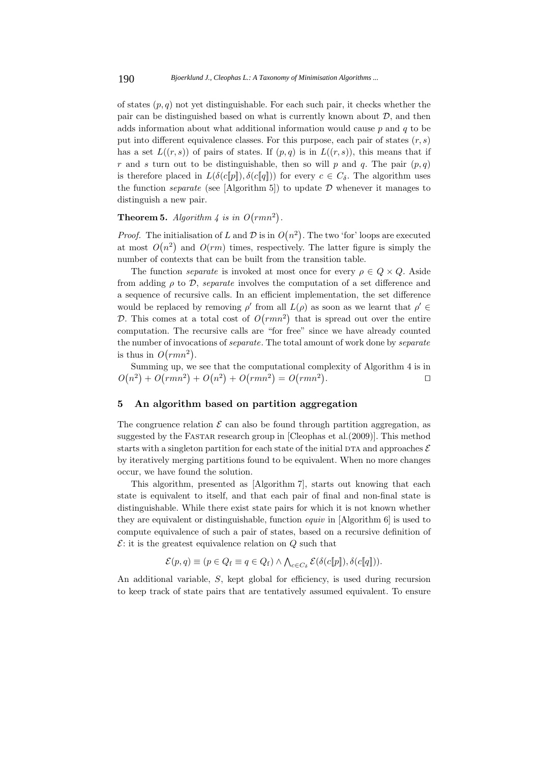of states  $(p, q)$  not yet distinguishable. For each such pair, it checks whether the pair can be distinguished based on what is currently known about  $D$ , and then adds information about what additional information would cause  $p$  and  $q$  to be put into different equivalence classes. For this purpose, each pair of states  $(r, s)$ has a set  $L((r, s))$  of pairs of states. If  $(p, q)$  is in  $L((r, s))$ , this means that if r and s turn out to be distinguishable, then so will p and q. The pair  $(p,q)$ is therefore placed in  $L(\delta(c[\![p]\!]), \delta(c[\![q]\!]))$  for every  $c \in C_{\delta}$ . The algorithm uses the function *separate* (see [Algorithm 5]) to update  $D$  whenever it manages to distinguish a new pair.

**Theorem 5.** Algorithm  $\frac{1}{4}$  is in  $O(rmn^2)$ .

*Proof.* The initialisation of L and D is in  $O(n^2)$ . The two 'for' loops are executed at most  $O(n^2)$  and  $O(rm)$  times, respectively. The latter figure is simply the number of contexts that can be built from the transition table.

The function *separate* is invoked at most once for every  $\rho \in Q \times Q$ . Aside from adding  $\rho$  to  $\mathcal{D}$ , *separate* involves the computation of a set difference and a sequence of recursive calls. In an efficient implementation, the set difference would be replaced by removing  $\rho'$  from all  $L(\rho)$  as soon as we learnt that  $\rho' \in$ D. This comes at a total cost of  $O(rmn^2)$  that is spread out over the entire computation. The recursive calls are "for free" since we have already counted the number of invocations of *separate*. The total amount of work done by *separate* is thus in  $O(rmn^2)$ .

Summing up, we see that the computational complexity of Algorithm 4 is in  $O(n^2) + O(rmn^2) + O(n^2) + O(rmn^2) = O(rmn^2)$ . 

### **5 An algorithm based on partition aggregation**

The congruence relation  $\mathcal E$  can also be found through partition aggregation, as suggested by the FASTAR research group in [Cleophas et al.(2009)]. This method starts with a singleton partition for each state of the initial DTA and approaches  $\mathcal E$ by iteratively merging partitions found to be equivalent. When no more changes occur, we have found the solution.

This algorithm, presented as [Algorithm 7], starts out knowing that each state is equivalent to itself, and that each pair of final and non-final state is distinguishable. While there exist state pairs for which it is not known whether they are equivalent or distinguishable, function *equiv* in [Algorithm 6] is used to compute equivalence of such a pair of states, based on a recursive definition of  $\mathcal{E}$ : it is the greatest equivalence relation on  $Q$  such that

$$
\mathcal{E}(p,q) \equiv (p \in Q_{\rm f} \equiv q \in Q_{\rm f}) \land \bigwedge_{c \in C_{\delta}} \mathcal{E}(\delta(c[\![p]\!]), \delta(c[\![q]\!]).
$$

An additional variable, S, kept global for efficiency, is used during recursion to keep track of state pairs that are tentatively assumed equivalent. To ensure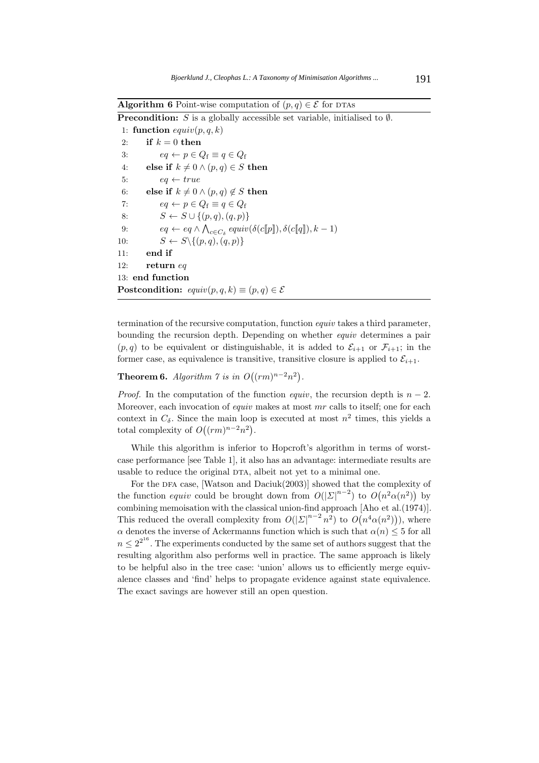**Algorithm 6** Point-wise computation of  $(p, q) \in \mathcal{E}$  for DTAs

**Precondition:** S is a globally accessible set variable, initialised to  $\emptyset$ .

1: **function**  $equiv(p, q, k)$ 2: **if**  $k = 0$  **then** 3:  $eq \leftarrow p \in Q_f \equiv q \in Q_f$ 4: **else if**  $k \neq 0 \land (p, q) \in S$  **then** 5:  $eq \leftarrow true$ 6: **else if**  $k \neq 0 \land (p, q) \notin S$  **then** 7:  $eq \leftarrow p \in Q_f \equiv q \in Q_f$ 8:  $S \leftarrow S \cup \{(p,q),(q,p)\}\$ 9:  $eq \leftarrow eq \wedge \bigwedge_{c \in C_{\delta}} equiv(\delta(c[\![p]\!]), \delta(c[\![q]\!]), k-1)$ 10:  $S \leftarrow S \setminus \{(p,q),(q,p)\}$ 11: **end if** 12: **return** eq 13: **end function Postcondition:**  $equiv(p, q, k) \equiv (p, q) \in \mathcal{E}$ 

termination of the recursive computation, function *equiv* takes a third parameter, bounding the recursion depth. Depending on whether *equiv* determines a pair  $(p, q)$  to be equivalent or distinguishable, it is added to  $\mathcal{E}_{i+1}$  or  $\mathcal{F}_{i+1}$ ; in the former case, as equivalence is transitive, transitive closure is applied to  $\mathcal{E}_{i+1}$ .

**Theorem 6.** *Algorithm*  $\gamma$  *is in*  $O((rm)^{n-2}n^2)$ *.* 

*Proof.* In the computation of the function *equiv*, the recursion depth is  $n-2$ . Moreover, each invocation of *equiv* makes at most mr calls to itself; one for each context in  $C_{\delta}$ . Since the main loop is executed at most  $n^2$  times, this yields a total complexity of  $O((rm)^{n-2}n^2)$ .

While this algorithm is inferior to Hopcroft's algorithm in terms of worstcase performance [see Table 1], it also has an advantage: intermediate results are usable to reduce the original DTA, albeit not yet to a minimal one.

For the DFA case, [Watson and Daciuk $(2003)$ ] showed that the complexity of the function *equiv* could be brought down from  $O(|\Sigma|^{n-2})$  to  $O(n^2\alpha(n^2))$  by combining memoisation with the classical union-find approach [Aho et al.(1974)]. This reduced the overall complexity from  $O(|\Sigma|^{n-2} n^2)$  to  $O(n^4 \alpha(n^2))$ , where  $\alpha$  denotes the inverse of Ackermanns function which is such that  $\alpha(n) \leq 5$  for all  $n \leq 2^{2^{16}}$ . The experiments conducted by the same set of authors suggest that the resulting algorithm also performs well in practice. The same approach is likely to be helpful also in the tree case: 'union' allows us to efficiently merge equivalence classes and 'find' helps to propagate evidence against state equivalence. The exact savings are however still an open question.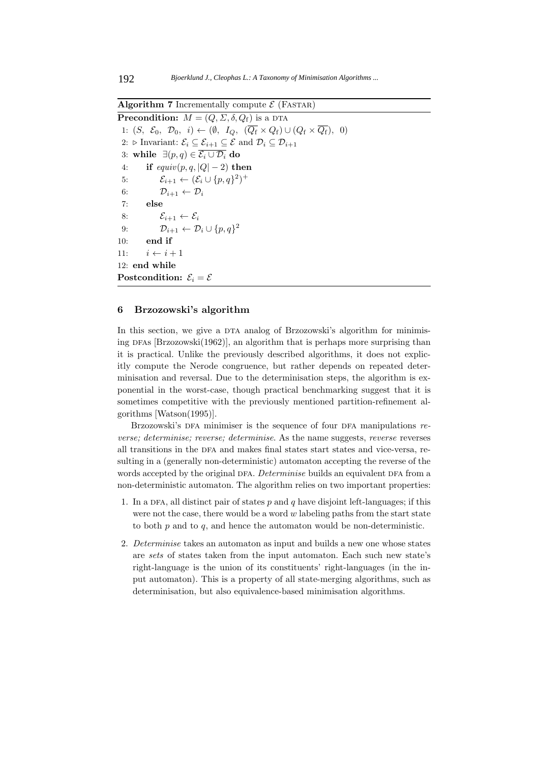**Algorithm 7** Incrementally compute  $\mathcal{E}$  (FASTAR)

**Precondition:**  $M = (Q, \Sigma, \delta, Q_f)$  is a DTA 1:  $(S, \mathcal{E}_0, \mathcal{D}_0, i) \leftarrow (\emptyset, I_Q, (\overline{Q_f} \times Q_f) \cup (Q_f \times \overline{Q_f}), 0)$ 2:  $\triangleright$  Invariant:  $\mathcal{E}_i \subseteq \mathcal{E}_{i+1} \subseteq \mathcal{E}$  and  $\mathcal{D}_i \subseteq \mathcal{D}_{i+1}$ 3: **while** ∃(p, q)  $\in \overline{\mathcal{E}_i \cup \mathcal{D}_i}$  do 4: **if**  $equiv(p, q, |Q| - 2)$  **then** 5:  $\mathcal{E}_{i+1} \leftarrow (\mathcal{E}_i \cup \{p,q\}^2)^+$ 6:  $\mathcal{D}_{i+1} \leftarrow \mathcal{D}_i$ 7: **else** 8:  $\mathcal{E}_{i+1} \leftarrow \mathcal{E}_i$ 9:  $\mathcal{D}_{i+1} \leftarrow \mathcal{D}_i \cup \{p, q\}^2$ 10: **end if** 11:  $i \leftarrow i + 1$ 12: **end while Postcondition:**  $\mathcal{E}_i = \mathcal{E}$ 

#### **6 Brzozowski's algorithm**

In this section, we give a DTA analog of Brzozowski's algorithm for minimising DFAs  $[Brzozowski(1962)]$ , an algorithm that is perhaps more surprising than it is practical. Unlike the previously described algorithms, it does not explicitly compute the Nerode congruence, but rather depends on repeated determinisation and reversal. Due to the determinisation steps, the algorithm is exponential in the worst-case, though practical benchmarking suggest that it is sometimes competitive with the previously mentioned partition-refinement algorithms [Watson(1995)].

Brzozowski's DFA minimiser is the sequence of four DFA manipulations *reverse; determinise; reverse; determinise*. As the name suggests, *reverse* reverses all transitions in the DFA and makes final states start states and vice-versa, resulting in a (generally non-deterministic) automaton accepting the reverse of the words accepted by the original DFA. *Determinise* builds an equivalent DFA from a non-deterministic automaton. The algorithm relies on two important properties:

- 1. In a DFA, all distinct pair of states  $p$  and  $q$  have disjoint left-languages; if this were not the case, there would be a word  $w$  labeling paths from the start state to both  $p$  and to  $q$ , and hence the automaton would be non-deterministic.
- 2. *Determinise* takes an automaton as input and builds a new one whose states are *sets* of states taken from the input automaton. Each such new state's right-language is the union of its constituents' right-languages (in the input automaton). This is a property of all state-merging algorithms, such as determinisation, but also equivalence-based minimisation algorithms.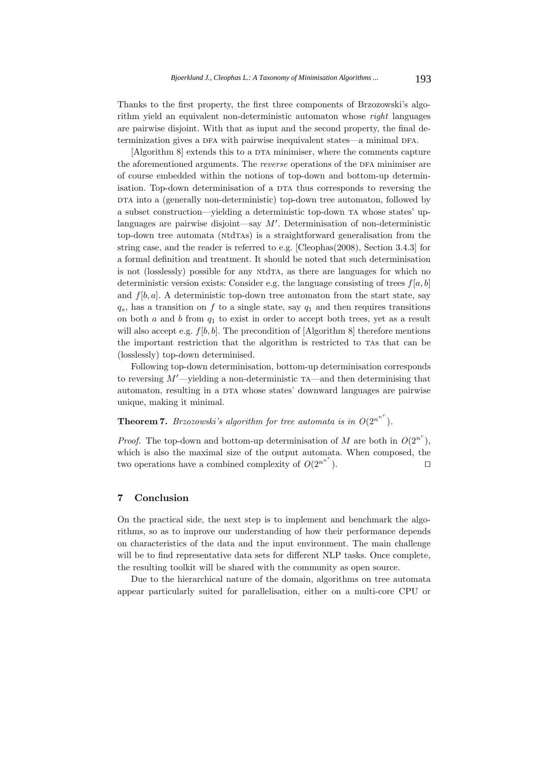Thanks to the first property, the first three components of Brzozowski's algorithm yield an equivalent non-deterministic automaton whose *right* languages are pairwise disjoint. With that as input and the second property, the final determinization gives a DFA with pairwise inequivalent states—a minimal DFA.

 $[Algorithm 8]$  extends this to a DTA minimiser, where the comments capture the aforementioned arguments. The *reverse* operations of the DFA minimiser are of course embedded within the notions of top-down and bottom-up determinisation. Top-down determinisation of a DTA thus corresponds to reversing the DTA into a (generally non-deterministic) top-down tree automaton, followed by a subset construction—yielding a deterministic top-down ta whose states' uplanguages are pairwise disjoint—say  $M'$ . Determinisation of non-deterministic top-down tree automata (NtdTAs) is a straightforward generalisation from the string case, and the reader is referred to e.g. [Cleophas(2008), Section 3.4.3] for a formal definition and treatment. It should be noted that such determinisation is not (losslessly) possible for any NtdTA, as there are languages for which no deterministic version exists: Consider e.g. the language consisting of trees  $f[a, b]$ and  $f[b, a]$ . A deterministic top-down tree automaton from the start state, say  $q_s$ , has a transition on f to a single state, say  $q_1$  and then requires transitions on both  $a$  and  $b$  from  $q_1$  to exist in order to accept both trees, yet as a result will also accept e.g.  $f[b, b]$ . The precondition of [Algorithm 8] therefore mentions the important restriction that the algorithm is restricted to that can be (losslessly) top-down determinised.

Following top-down determinisation, bottom-up determinisation corresponds to reversing  $M'$ —yielding a non-deterministic  $TA$ —and then determinising that automaton, resulting in a DTA whose states' downward languages are pairwise unique, making it minimal.

# **Theorem 7.** *Brzozowski's algorithm for tree automata is in*  $O(2^{n^{n^r}})$ *.*

*Proof.* The top-down and bottom-up determinisation of M are both in  $O(2^{n^r})$ , which is also the maximal size of the output automata. When composed, the two operations have a combined complexity of  $O(2^{n^{n^r}})$ . ). 

#### **7 Conclusion**

On the practical side, the next step is to implement and benchmark the algorithms, so as to improve our understanding of how their performance depends on characteristics of the data and the input environment. The main challenge will be to find representative data sets for different NLP tasks. Once complete, the resulting toolkit will be shared with the community as open source.

Due to the hierarchical nature of the domain, algorithms on tree automata appear particularly suited for parallelisation, either on a multi-core CPU or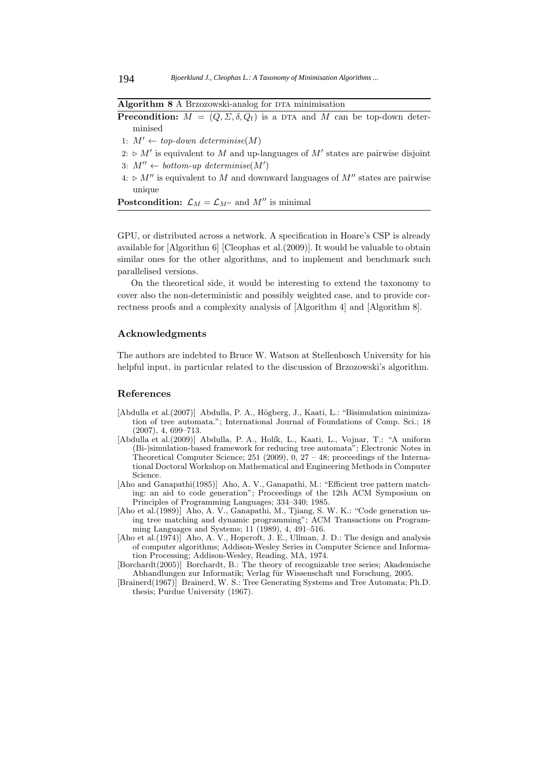#### **Algorithm 8** A Brzozowski-analog for DTA minimisation

**Precondition:**  $M = (Q, \Sigma, \delta, Q_f)$  is a DTA and M can be top-down determinised

- 1:  $M' \leftarrow top-down \, determine(M)$
- $2: \triangleright M'$  is equivalent to M and up-languages of M' states are pairwise disjoint 3:  $M'' \leftarrow bottom-up \ determine(M')$
- $4: \triangleright M''$  is equivalent to M and downward languages of  $M''$  states are pairwise unique

**Postcondition:**  $\mathcal{L}_M = \mathcal{L}_{M''}$  and  $M''$  is minimal

GPU, or distributed across a network. A specification in Hoare's CSP is already available for [Algorithm 6] [Cleophas et al.(2009)]. It would be valuable to obtain similar ones for the other algorithms, and to implement and benchmark such parallelised versions.

On the theoretical side, it would be interesting to extend the taxonomy to cover also the non-deterministic and possibly weighted case, and to provide correctness proofs and a complexity analysis of [Algorithm 4] and [Algorithm 8].

# **Acknowledgments**

The authors are indebted to Bruce W. Watson at Stellenbosch University for his helpful input, in particular related to the discussion of Brzozowski's algorithm.

#### **References**

- [Abdulla et al.(2007)] Abdulla, P. A., Högberg, J., Kaati, L.: "Bisimulation minimization of tree automata."; International Journal of Foundations of Comp. Sci.; 18 (2007), 4, 699–713.
- [Abdulla et al.(2009)] Abdulla, P. A., Holík, L., Kaati, L., Vojnar, T.: "A uniform (Bi-)simulation-based framework for reducing tree automata"; Electronic Notes in Theoretical Computer Science; 251 (2009), 0,  $27 - 48$ ; proceedings of the International Doctoral Workshop on Mathematical and Engineering Methods in Computer Science.
- [Aho and Ganapathi(1985)] Aho, A. V., Ganapathi, M.: "Efficient tree pattern matching: an aid to code generation"; Proceedings of the 12th ACM Symposium on Principles of Programming Languages; 334–340; 1985.
- [Aho et al.(1989)] Aho, A. V., Ganapathi, M., Tjiang, S. W. K.: "Code generation using tree matching and dynamic programming"; ACM Transactions on Programming Languages and Systems; 11 (1989), 4, 491–516.
- [Aho et al.(1974)] Aho, A. V., Hopcroft, J. E., Ullman, J. D.: The design and analysis of computer algorithms; Addison-Wesley Series in Computer Science and Information Processing; Addison-Wesley, Reading, MA, 1974.
- [Borchardt(2005)] Borchardt, B.: The theory of recognizable tree series; Akademische Abhandlungen zur Informatik; Verlag für Wissenschaft und Forschung, 2005.
- [Brainerd(1967)] Brainerd, W. S.: Tree Generating Systems and Tree Automata; Ph.D. thesis; Purdue University (1967).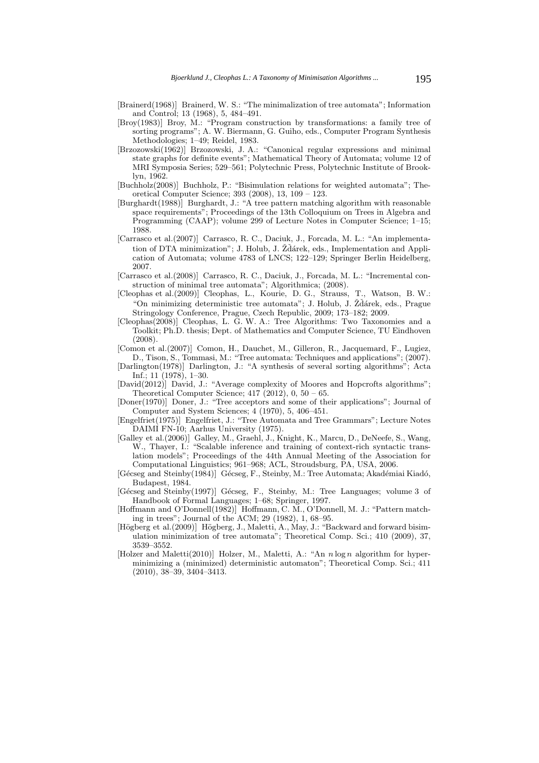- [Brainerd(1968)] Brainerd, W. S.: "The minimalization of tree automata"; Information and Control; 13 (1968), 5, 484–491.
- [Broy(1983)] Broy, M.: "Program construction by transformations: a family tree of sorting programs"; A. W. Biermann, G. Guiho, eds., Computer Program Synthesis Methodologies; 1–49; Reidel, 1983.
- [Brzozowski(1962)] Brzozowski, J. A.: "Canonical regular expressions and minimal state graphs for definite events"; Mathematical Theory of Automata; volume 12 of MRI Symposia Series; 529–561; Polytechnic Press, Polytechnic Institute of Brooklyn, 1962.
- [Buchholz(2008)] Buchholz, P.: "Bisimulation relations for weighted automata"; Theoretical Computer Science; 393 (2008), 13, 109 – 123.
- [Burghardt(1988)] Burghardt, J.: "A tree pattern matching algorithm with reasonable space requirements"; Proceedings of the 13th Colloquium on Trees in Algebra and Programming (CAAP); volume 299 of Lecture Notes in Computer Science; 1–15; 1988.
- [Carrasco et al.(2007)] Carrasco, R. C., Daciuk, J., Forcada, M. L.: "An implementation of DTA minimization"; J. Holub, J. Žďárek, eds., Implementation and Application of Automata; volume 4783 of LNCS; 122–129; Springer Berlin Heidelberg, 2007.
- [Carrasco et al.(2008)] Carrasco, R. C., Daciuk, J., Forcada, M. L.: "Incremental construction of minimal tree automata"; Algorithmica; (2008).
- [Cleophas et al.(2009)] Cleophas, L., Kourie, D. G., Strauss, T., Watson, B. W.: "On minimizing deterministic tree automata"; J. Holub, J. Žďárek, eds., Prague Stringology Conference, Prague, Czech Republic, 2009; 173–182; 2009.
- [Cleophas(2008)] Cleophas, L. G. W. A.: Tree Algorithms: Two Taxonomies and a Toolkit; Ph.D. thesis; Dept. of Mathematics and Computer Science, TU Eindhoven (2008).
- [Comon et al.(2007)] Comon, H., Dauchet, M., Gilleron, R., Jacquemard, F., Lugiez, D., Tison, S., Tommasi, M.: "Tree automata: Techniques and applications"; (2007).
- [Darlington(1978)] Darlington, J.: "A synthesis of several sorting algorithms"; Acta Inf.; 11 (1978), 1–30.
- [David(2012)] David, J.: "Average complexity of Moores and Hopcrofts algorithms"; Theoretical Computer Science;  $417$  (2012), 0, 50 – 65.
- [Doner(1970)] Doner, J.: "Tree acceptors and some of their applications"; Journal of Computer and System Sciences; 4 (1970), 5, 406–451.
- [Engelfriet(1975)] Engelfriet, J.: "Tree Automata and Tree Grammars"; Lecture Notes DAIMI FN-10; Aarhus University (1975).
- [Galley et al.(2006)] Galley, M., Graehl, J., Knight, K., Marcu, D., DeNeefe, S., Wang, W., Thayer, I.: "Scalable inference and training of context-rich syntactic translation models"; Proceedings of the 44th Annual Meeting of the Association for Computational Linguistics; 961–968; ACL, Stroudsburg, PA, USA, 2006.
- [Gécseg and Steinby(1984)] Gécseg, F., Steinby, M.: Tree Automata; Akadémiai Kiadó, Budapest, 1984.
- [Gécseg and Steinby(1997)] Gécseg, F., Steinby, M.: Tree Languages; volume 3 of Handbook of Formal Languages; 1–68; Springer, 1997.
- [Hoffmann and O'Donnell(1982)] Hoffmann, C. M., O'Donnell, M. J.: "Pattern matching in trees"; Journal of the ACM; 29 (1982), 1, 68–95.
- [Högberg et al.(2009)] Högberg, J., Maletti, A., May, J.: "Backward and forward bisimulation minimization of tree automata"; Theoretical Comp. Sci.; 410 (2009), 37, 3539–3552.
- [Holzer and Maletti(2010)] Holzer, M., Maletti, A.: "An *n* log *n* algorithm for hyperminimizing a (minimized) deterministic automaton"; Theoretical Comp. Sci.; 411 (2010), 38–39, 3404–3413.